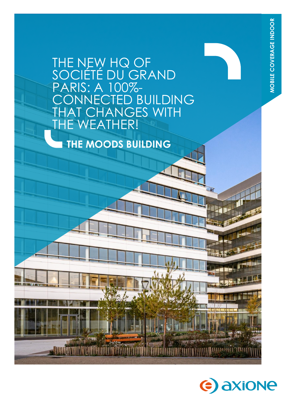# THE NEW HQ OF<br>SOCIÉTÉ DU GRA É DU GRAND<br>A 100%-PARIS: A ED BUILDING **TANGES WITH TE WEATHER!**

**THE MOODS BUILDING**

**. III** 

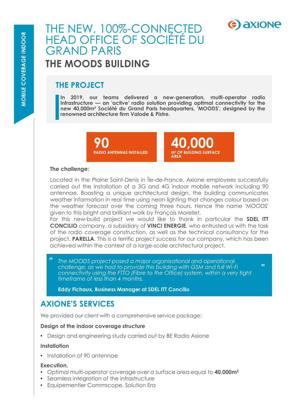# THE NEW, 100%-CONNECTED HEAD OFFICE OF SOCIÉTÉ DU GRAND PARIS **THE MOODS BUILDING**

## **THE PROJECT**

**In 2019, our teams delivered a new-generation, multi-operator radio infrastructure — an 'active' radio solution providing optimal connectivity for the new 40,000m² Société du Grand Paris headquarters, 'MOODS', designed by the renowned architecture firm Valode & Pistre.**

> **90 RADIO ANTENNAS INSTALLED**



**"**

e) axione

#### **The challenge:**

Located in the Plaine Saint-Denis in Île-de-France, Axione employees successfully carried out the installation of a 3G and 4G indoor mobile network including 90 antennae. Boasting a unique architectural design, the building communicates weather information in real time using neon lighting that changes colour based on the weather forecast over the coming three hours. Hence the name 'MOODS' given to this bright and brilliant work by François Morellet.

For this new-build project we would like to thank in particular the **SDEL ITT CONCILIO** company, a subsidiary of **VINCI ENERGIE**, who entrusted us with the task of the radio coverage construction, as well as the technical consultancy for the project. **PARELLA**. This is a terrific project success for our company, which has been achieved within the context of a large-scale architectural project.

*The MOODS project posed a major organisational and operational challenge, as we had to provide this building with GSM and full Wi-Fi connectivity using the FTTO (Fibre to the Office) system, within a very tight timeframe of less than 4 months.*  **"**

**Eddy Fichaux, Business Manager at SDEL ITT Concilio**

## **AXIONE'S SERVICES**

We provided our client with a comprehensive service package:

#### **Design of the indoor coverage structure**

• Design and engineering study carried out by BE Radio Axione

#### **Installation**

• Installation of 90 antennae

#### **Execution,**

- Optimal multi-operator coverage over a surface area equal to **40,000m<sup>2</sup>**
- Seamless integration of the infrastructure
- Equipementier Commscope, Solution Era